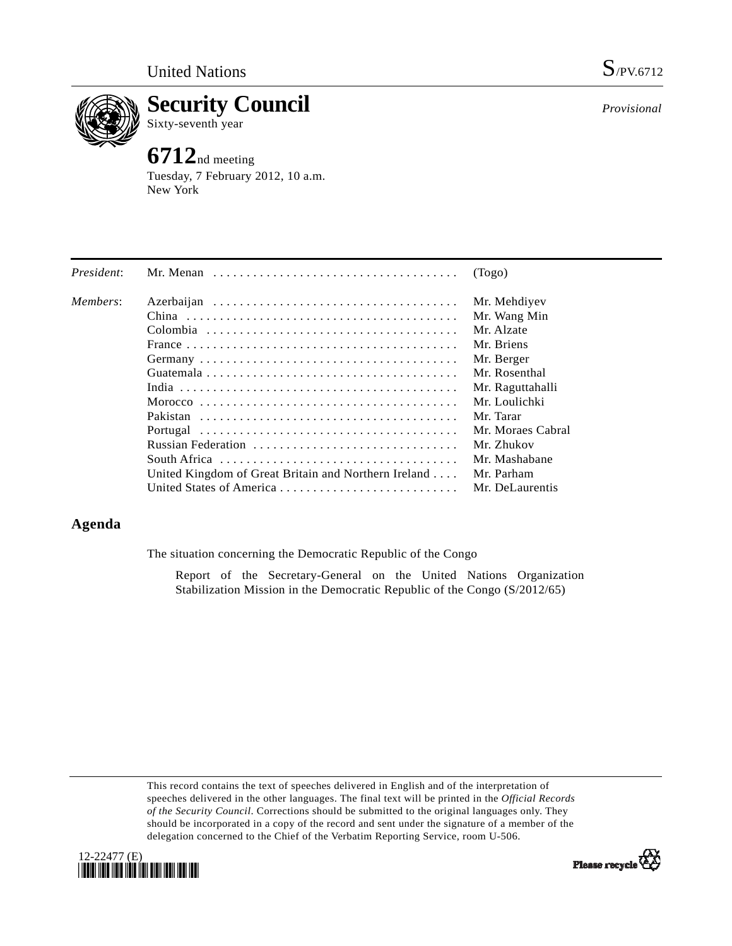

**Security Council**  Sixty-seventh year

# **6712**nd meeting

Tuesday, 7 February 2012, 10 a.m. New York

| President: |                                                      | (Togo)            |
|------------|------------------------------------------------------|-------------------|
| Members:   |                                                      | Mr. Mehdiyev      |
|            |                                                      | Mr. Wang Min      |
|            |                                                      | Mr. Alzate        |
|            |                                                      | Mr. Briens        |
|            |                                                      | Mr. Berger        |
|            |                                                      | Mr. Rosenthal     |
|            |                                                      | Mr. Raguttahalli  |
|            |                                                      | Mr. Loulichki     |
|            |                                                      | Mr. Tarar         |
|            |                                                      | Mr. Moraes Cabral |
|            | Russian Federation                                   | Mr. Zhukov        |
|            |                                                      | Mr. Mashabane     |
|            | United Kingdom of Great Britain and Northern Ireland | Mr. Parham        |
|            |                                                      | Mr. DeLaurentis   |

## **Agenda**

The situation concerning the Democratic Republic of the Congo

 Report of the Secretary-General on the United Nations Organization Stabilization Mission in the Democratic Republic of the Congo (S/2012/65)

This record contains the text of speeches delivered in English and of the interpretation of speeches delivered in the other languages. The final text will be printed in the *Official Records of the Security Council*. Corrections should be submitted to the original languages only. They should be incorporated in a copy of the record and sent under the signature of a member of the delegation concerned to the Chief of the Verbatim Reporting Service, room U-506.



*Provisional*

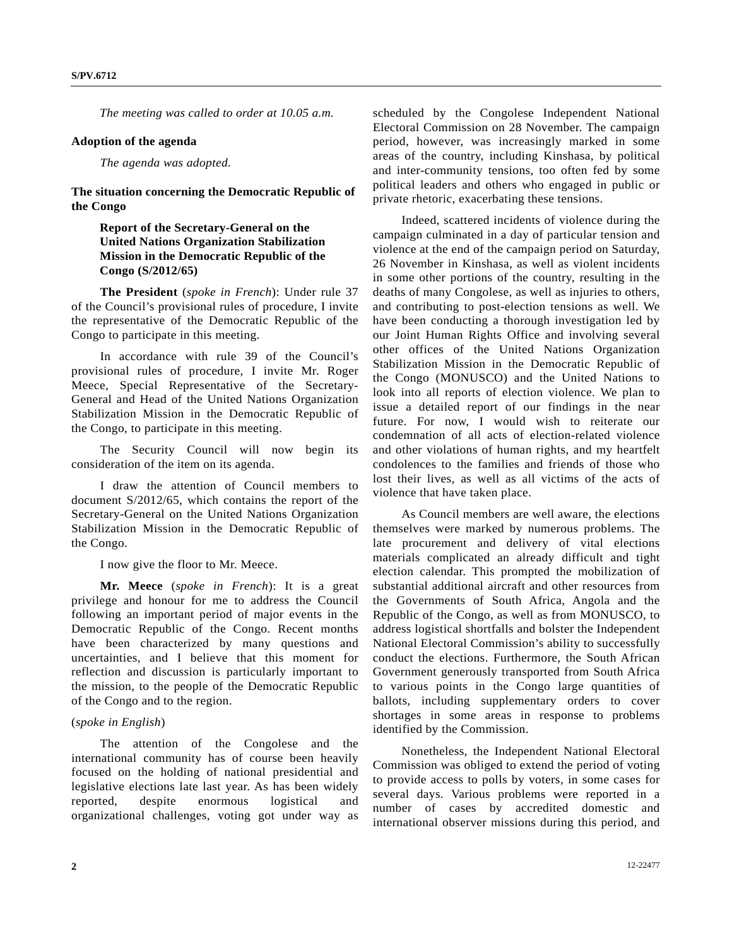*The meeting was called to order at 10.05 a.m.* 

#### **Adoption of the agenda**

#### *The agenda was adopted.*

**The situation concerning the Democratic Republic of the Congo** 

### **Report of the Secretary-General on the United Nations Organization Stabilization Mission in the Democratic Republic of the Congo (S/2012/65)**

**The President** (*spoke in French*): Under rule 37 of the Council's provisional rules of procedure, I invite the representative of the Democratic Republic of the Congo to participate in this meeting.

 In accordance with rule 39 of the Council's provisional rules of procedure, I invite Mr. Roger Meece, Special Representative of the Secretary-General and Head of the United Nations Organization Stabilization Mission in the Democratic Republic of the Congo, to participate in this meeting.

 The Security Council will now begin its consideration of the item on its agenda.

 I draw the attention of Council members to document S/2012/65, which contains the report of the Secretary-General on the United Nations Organization Stabilization Mission in the Democratic Republic of the Congo.

I now give the floor to Mr. Meece.

**Mr. Meece** (*spoke in French*): It is a great privilege and honour for me to address the Council following an important period of major events in the Democratic Republic of the Congo. Recent months have been characterized by many questions and uncertainties, and I believe that this moment for reflection and discussion is particularly important to the mission, to the people of the Democratic Republic of the Congo and to the region.

#### (*spoke in English*)

 The attention of the Congolese and the international community has of course been heavily focused on the holding of national presidential and legislative elections late last year. As has been widely reported, despite enormous logistical and organizational challenges, voting got under way as

scheduled by the Congolese Independent National Electoral Commission on 28 November. The campaign period, however, was increasingly marked in some areas of the country, including Kinshasa, by political and inter-community tensions, too often fed by some political leaders and others who engaged in public or private rhetoric, exacerbating these tensions.

 Indeed, scattered incidents of violence during the campaign culminated in a day of particular tension and violence at the end of the campaign period on Saturday, 26 November in Kinshasa, as well as violent incidents in some other portions of the country, resulting in the deaths of many Congolese, as well as injuries to others, and contributing to post-election tensions as well. We have been conducting a thorough investigation led by our Joint Human Rights Office and involving several other offices of the United Nations Organization Stabilization Mission in the Democratic Republic of the Congo (MONUSCO) and the United Nations to look into all reports of election violence. We plan to issue a detailed report of our findings in the near future. For now, I would wish to reiterate our condemnation of all acts of election-related violence and other violations of human rights, and my heartfelt condolences to the families and friends of those who lost their lives, as well as all victims of the acts of violence that have taken place.

 As Council members are well aware, the elections themselves were marked by numerous problems. The late procurement and delivery of vital elections materials complicated an already difficult and tight election calendar. This prompted the mobilization of substantial additional aircraft and other resources from the Governments of South Africa, Angola and the Republic of the Congo, as well as from MONUSCO, to address logistical shortfalls and bolster the Independent National Electoral Commission's ability to successfully conduct the elections. Furthermore, the South African Government generously transported from South Africa to various points in the Congo large quantities of ballots, including supplementary orders to cover shortages in some areas in response to problems identified by the Commission.

 Nonetheless, the Independent National Electoral Commission was obliged to extend the period of voting to provide access to polls by voters, in some cases for several days. Various problems were reported in a number of cases by accredited domestic and international observer missions during this period, and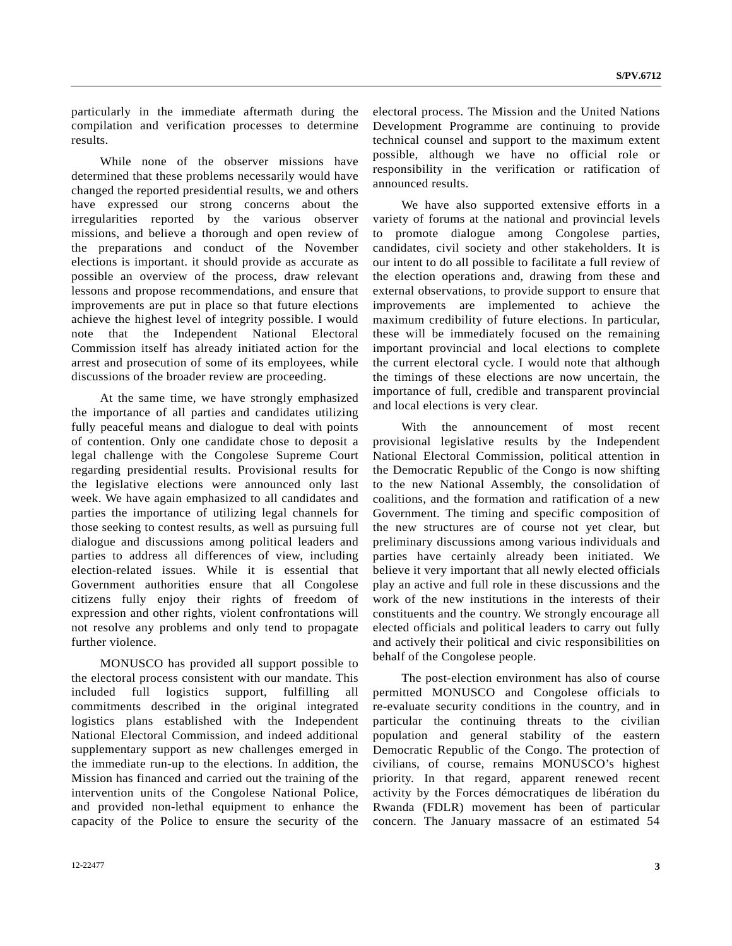particularly in the immediate aftermath during the compilation and verification processes to determine results.

 While none of the observer missions have determined that these problems necessarily would have changed the reported presidential results, we and others have expressed our strong concerns about the irregularities reported by the various observer missions, and believe a thorough and open review of the preparations and conduct of the November elections is important. it should provide as accurate as possible an overview of the process, draw relevant lessons and propose recommendations, and ensure that improvements are put in place so that future elections achieve the highest level of integrity possible. I would note that the Independent National Electoral Commission itself has already initiated action for the arrest and prosecution of some of its employees, while discussions of the broader review are proceeding.

 At the same time, we have strongly emphasized the importance of all parties and candidates utilizing fully peaceful means and dialogue to deal with points of contention. Only one candidate chose to deposit a legal challenge with the Congolese Supreme Court regarding presidential results. Provisional results for the legislative elections were announced only last week. We have again emphasized to all candidates and parties the importance of utilizing legal channels for those seeking to contest results, as well as pursuing full dialogue and discussions among political leaders and parties to address all differences of view, including election-related issues. While it is essential that Government authorities ensure that all Congolese citizens fully enjoy their rights of freedom of expression and other rights, violent confrontations will not resolve any problems and only tend to propagate further violence.

 MONUSCO has provided all support possible to the electoral process consistent with our mandate. This included full logistics support, fulfilling all commitments described in the original integrated logistics plans established with the Independent National Electoral Commission, and indeed additional supplementary support as new challenges emerged in the immediate run-up to the elections. In addition, the Mission has financed and carried out the training of the intervention units of the Congolese National Police, and provided non-lethal equipment to enhance the capacity of the Police to ensure the security of the electoral process. The Mission and the United Nations Development Programme are continuing to provide technical counsel and support to the maximum extent possible, although we have no official role or responsibility in the verification or ratification of announced results.

 We have also supported extensive efforts in a variety of forums at the national and provincial levels to promote dialogue among Congolese parties, candidates, civil society and other stakeholders. It is our intent to do all possible to facilitate a full review of the election operations and, drawing from these and external observations, to provide support to ensure that improvements are implemented to achieve the maximum credibility of future elections. In particular, these will be immediately focused on the remaining important provincial and local elections to complete the current electoral cycle. I would note that although the timings of these elections are now uncertain, the importance of full, credible and transparent provincial and local elections is very clear.

 With the announcement of most recent provisional legislative results by the Independent National Electoral Commission, political attention in the Democratic Republic of the Congo is now shifting to the new National Assembly, the consolidation of coalitions, and the formation and ratification of a new Government. The timing and specific composition of the new structures are of course not yet clear, but preliminary discussions among various individuals and parties have certainly already been initiated. We believe it very important that all newly elected officials play an active and full role in these discussions and the work of the new institutions in the interests of their constituents and the country. We strongly encourage all elected officials and political leaders to carry out fully and actively their political and civic responsibilities on behalf of the Congolese people.

 The post-election environment has also of course permitted MONUSCO and Congolese officials to re-evaluate security conditions in the country, and in particular the continuing threats to the civilian population and general stability of the eastern Democratic Republic of the Congo. The protection of civilians, of course, remains MONUSCO's highest priority. In that regard, apparent renewed recent activity by the Forces démocratiques de libération du Rwanda (FDLR) movement has been of particular concern. The January massacre of an estimated 54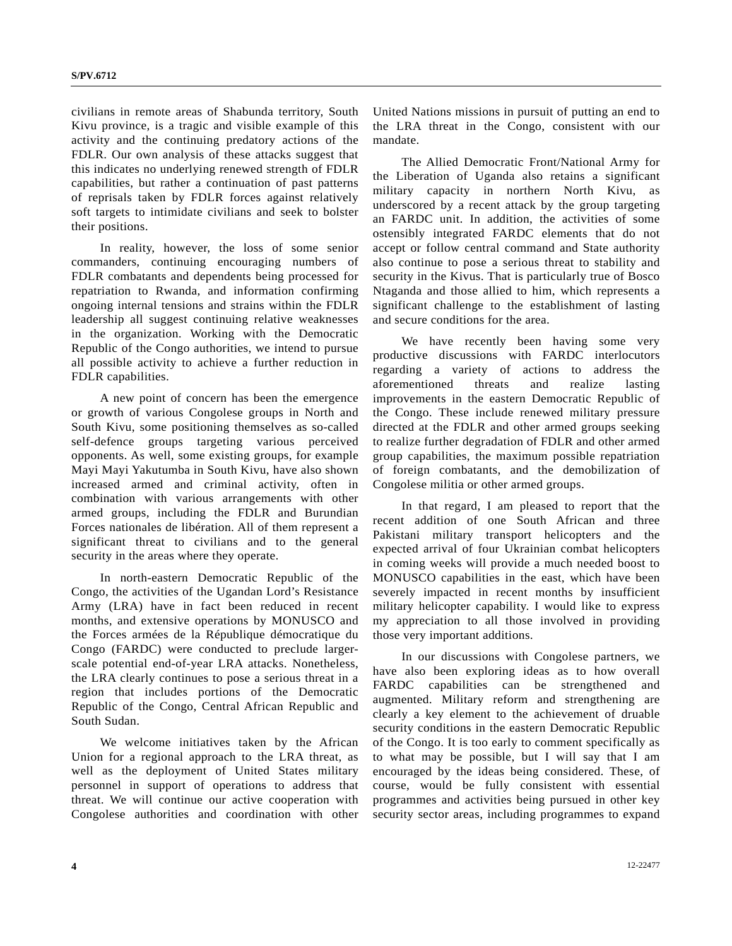civilians in remote areas of Shabunda territory, South Kivu province, is a tragic and visible example of this activity and the continuing predatory actions of the FDLR. Our own analysis of these attacks suggest that this indicates no underlying renewed strength of FDLR capabilities, but rather a continuation of past patterns of reprisals taken by FDLR forces against relatively soft targets to intimidate civilians and seek to bolster their positions.

 In reality, however, the loss of some senior commanders, continuing encouraging numbers of FDLR combatants and dependents being processed for repatriation to Rwanda, and information confirming ongoing internal tensions and strains within the FDLR leadership all suggest continuing relative weaknesses in the organization. Working with the Democratic Republic of the Congo authorities, we intend to pursue all possible activity to achieve a further reduction in FDLR capabilities.

 A new point of concern has been the emergence or growth of various Congolese groups in North and South Kivu, some positioning themselves as so-called self-defence groups targeting various perceived opponents. As well, some existing groups, for example Mayi Mayi Yakutumba in South Kivu, have also shown increased armed and criminal activity, often in combination with various arrangements with other armed groups, including the FDLR and Burundian Forces nationales de libération. All of them represent a significant threat to civilians and to the general security in the areas where they operate.

 In north-eastern Democratic Republic of the Congo, the activities of the Ugandan Lord's Resistance Army (LRA) have in fact been reduced in recent months, and extensive operations by MONUSCO and the Forces armées de la République démocratique du Congo (FARDC) were conducted to preclude largerscale potential end-of-year LRA attacks. Nonetheless, the LRA clearly continues to pose a serious threat in a region that includes portions of the Democratic Republic of the Congo, Central African Republic and South Sudan.

 We welcome initiatives taken by the African Union for a regional approach to the LRA threat, as well as the deployment of United States military personnel in support of operations to address that threat. We will continue our active cooperation with Congolese authorities and coordination with other United Nations missions in pursuit of putting an end to the LRA threat in the Congo, consistent with our mandate.

 The Allied Democratic Front/National Army for the Liberation of Uganda also retains a significant military capacity in northern North Kivu, as underscored by a recent attack by the group targeting an FARDC unit. In addition, the activities of some ostensibly integrated FARDC elements that do not accept or follow central command and State authority also continue to pose a serious threat to stability and security in the Kivus. That is particularly true of Bosco Ntaganda and those allied to him, which represents a significant challenge to the establishment of lasting and secure conditions for the area.

 We have recently been having some very productive discussions with FARDC interlocutors regarding a variety of actions to address the aforementioned threats and realize lasting improvements in the eastern Democratic Republic of the Congo. These include renewed military pressure directed at the FDLR and other armed groups seeking to realize further degradation of FDLR and other armed group capabilities, the maximum possible repatriation of foreign combatants, and the demobilization of Congolese militia or other armed groups.

 In that regard, I am pleased to report that the recent addition of one South African and three Pakistani military transport helicopters and the expected arrival of four Ukrainian combat helicopters in coming weeks will provide a much needed boost to MONUSCO capabilities in the east, which have been severely impacted in recent months by insufficient military helicopter capability. I would like to express my appreciation to all those involved in providing those very important additions.

 In our discussions with Congolese partners, we have also been exploring ideas as to how overall FARDC capabilities can be strengthened and augmented. Military reform and strengthening are clearly a key element to the achievement of druable security conditions in the eastern Democratic Republic of the Congo. It is too early to comment specifically as to what may be possible, but I will say that I am encouraged by the ideas being considered. These, of course, would be fully consistent with essential programmes and activities being pursued in other key security sector areas, including programmes to expand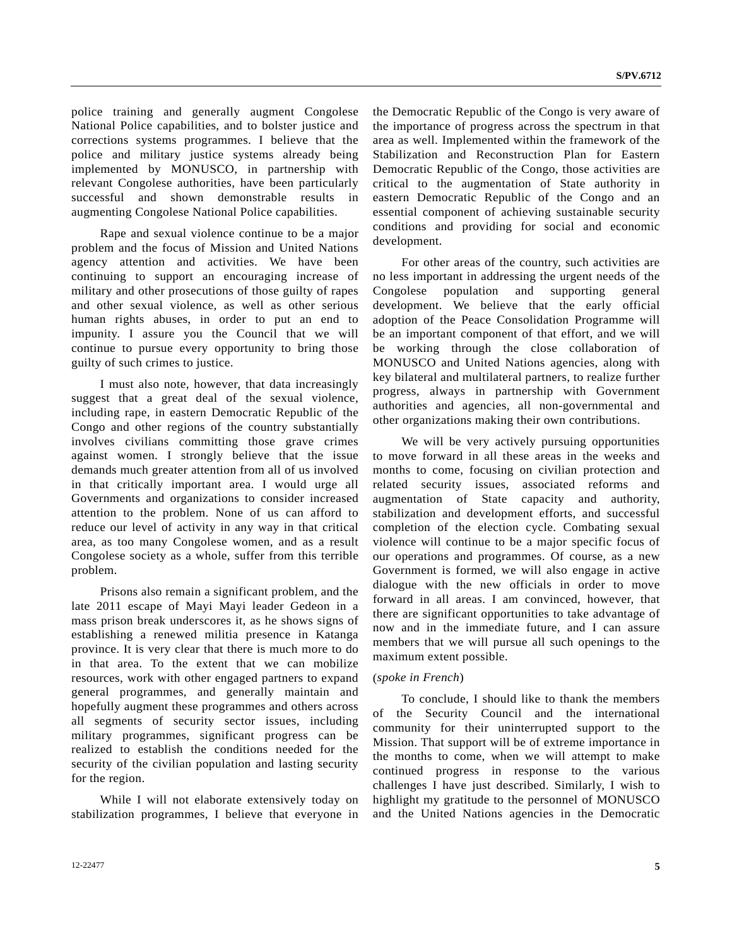police training and generally augment Congolese National Police capabilities, and to bolster justice and corrections systems programmes. I believe that the police and military justice systems already being implemented by MONUSCO, in partnership with relevant Congolese authorities, have been particularly successful and shown demonstrable results in augmenting Congolese National Police capabilities.

 Rape and sexual violence continue to be a major problem and the focus of Mission and United Nations agency attention and activities. We have been continuing to support an encouraging increase of military and other prosecutions of those guilty of rapes and other sexual violence, as well as other serious human rights abuses, in order to put an end to impunity. I assure you the Council that we will continue to pursue every opportunity to bring those guilty of such crimes to justice.

 I must also note, however, that data increasingly suggest that a great deal of the sexual violence, including rape, in eastern Democratic Republic of the Congo and other regions of the country substantially involves civilians committing those grave crimes against women. I strongly believe that the issue demands much greater attention from all of us involved in that critically important area. I would urge all Governments and organizations to consider increased attention to the problem. None of us can afford to reduce our level of activity in any way in that critical area, as too many Congolese women, and as a result Congolese society as a whole, suffer from this terrible problem.

 Prisons also remain a significant problem, and the late 2011 escape of Mayi Mayi leader Gedeon in a mass prison break underscores it, as he shows signs of establishing a renewed militia presence in Katanga province. It is very clear that there is much more to do in that area. To the extent that we can mobilize resources, work with other engaged partners to expand general programmes, and generally maintain and hopefully augment these programmes and others across all segments of security sector issues, including military programmes, significant progress can be realized to establish the conditions needed for the security of the civilian population and lasting security for the region.

 While I will not elaborate extensively today on stabilization programmes, I believe that everyone in the Democratic Republic of the Congo is very aware of the importance of progress across the spectrum in that area as well. Implemented within the framework of the Stabilization and Reconstruction Plan for Eastern Democratic Republic of the Congo, those activities are critical to the augmentation of State authority in eastern Democratic Republic of the Congo and an essential component of achieving sustainable security conditions and providing for social and economic development.

 For other areas of the country, such activities are no less important in addressing the urgent needs of the Congolese population and supporting general development. We believe that the early official adoption of the Peace Consolidation Programme will be an important component of that effort, and we will be working through the close collaboration of MONUSCO and United Nations agencies, along with key bilateral and multilateral partners, to realize further progress, always in partnership with Government authorities and agencies, all non-governmental and other organizations making their own contributions.

We will be very actively pursuing opportunities to move forward in all these areas in the weeks and months to come, focusing on civilian protection and related security issues, associated reforms and augmentation of State capacity and authority, stabilization and development efforts, and successful completion of the election cycle. Combating sexual violence will continue to be a major specific focus of our operations and programmes. Of course, as a new Government is formed, we will also engage in active dialogue with the new officials in order to move forward in all areas. I am convinced, however, that there are significant opportunities to take advantage of now and in the immediate future, and I can assure members that we will pursue all such openings to the maximum extent possible.

#### (*spoke in French*)

 To conclude, I should like to thank the members of the Security Council and the international community for their uninterrupted support to the Mission. That support will be of extreme importance in the months to come, when we will attempt to make continued progress in response to the various challenges I have just described. Similarly, I wish to highlight my gratitude to the personnel of MONUSCO and the United Nations agencies in the Democratic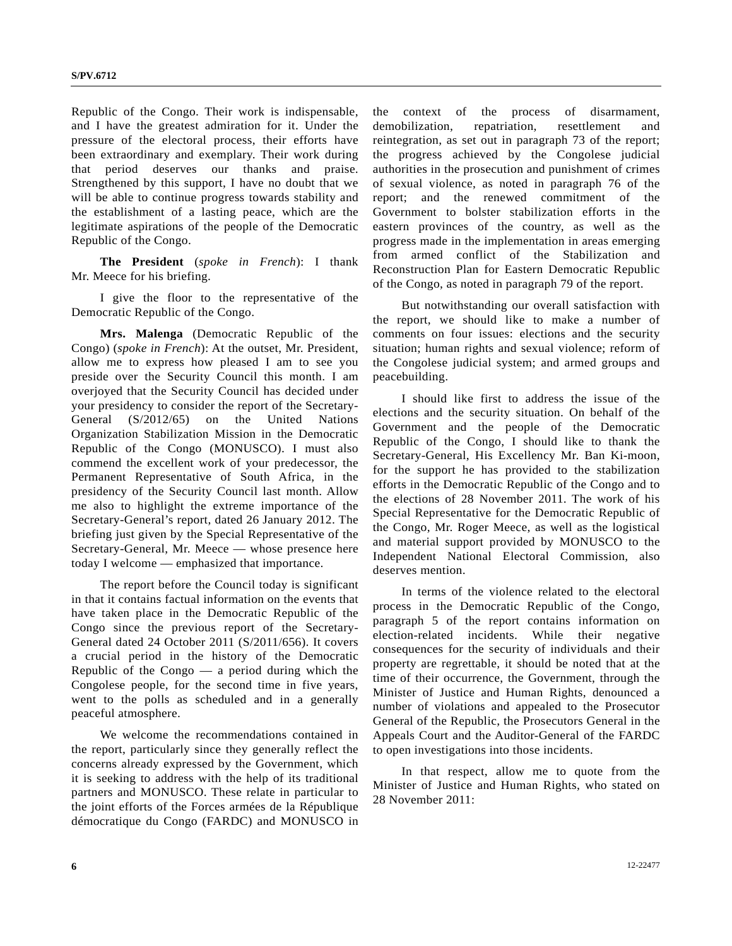Republic of the Congo. Their work is indispensable, and I have the greatest admiration for it. Under the pressure of the electoral process, their efforts have been extraordinary and exemplary. Their work during that period deserves our thanks and praise. Strengthened by this support, I have no doubt that we will be able to continue progress towards stability and the establishment of a lasting peace, which are the legitimate aspirations of the people of the Democratic Republic of the Congo.

**The President** (*spoke in French*): I thank Mr. Meece for his briefing.

 I give the floor to the representative of the Democratic Republic of the Congo.

**Mrs. Malenga** (Democratic Republic of the Congo) (*spoke in French*): At the outset, Mr. President, allow me to express how pleased I am to see you preside over the Security Council this month. I am overjoyed that the Security Council has decided under your presidency to consider the report of the Secretary-General (S/2012/65) on the United Nations Organization Stabilization Mission in the Democratic Republic of the Congo (MONUSCO). I must also commend the excellent work of your predecessor, the Permanent Representative of South Africa, in the presidency of the Security Council last month. Allow me also to highlight the extreme importance of the Secretary-General's report, dated 26 January 2012. The briefing just given by the Special Representative of the Secretary-General, Mr. Meece — whose presence here today I welcome — emphasized that importance.

 The report before the Council today is significant in that it contains factual information on the events that have taken place in the Democratic Republic of the Congo since the previous report of the Secretary-General dated 24 October 2011 (S/2011/656). It covers a crucial period in the history of the Democratic Republic of the Congo  $-$  a period during which the Congolese people, for the second time in five years, went to the polls as scheduled and in a generally peaceful atmosphere.

 We welcome the recommendations contained in the report, particularly since they generally reflect the concerns already expressed by the Government, which it is seeking to address with the help of its traditional partners and MONUSCO. These relate in particular to the joint efforts of the Forces armées de la République démocratique du Congo (FARDC) and MONUSCO in

the context of the process of disarmament, demobilization, repatriation, resettlement and reintegration, as set out in paragraph 73 of the report; the progress achieved by the Congolese judicial authorities in the prosecution and punishment of crimes of sexual violence, as noted in paragraph 76 of the report; and the renewed commitment of the Government to bolster stabilization efforts in the eastern provinces of the country, as well as the progress made in the implementation in areas emerging from armed conflict of the Stabilization and Reconstruction Plan for Eastern Democratic Republic of the Congo, as noted in paragraph 79 of the report.

 But notwithstanding our overall satisfaction with the report, we should like to make a number of comments on four issues: elections and the security situation; human rights and sexual violence; reform of the Congolese judicial system; and armed groups and peacebuilding.

 I should like first to address the issue of the elections and the security situation. On behalf of the Government and the people of the Democratic Republic of the Congo, I should like to thank the Secretary-General, His Excellency Mr. Ban Ki-moon, for the support he has provided to the stabilization efforts in the Democratic Republic of the Congo and to the elections of 28 November 2011. The work of his Special Representative for the Democratic Republic of the Congo, Mr. Roger Meece, as well as the logistical and material support provided by MONUSCO to the Independent National Electoral Commission, also deserves mention.

 In terms of the violence related to the electoral process in the Democratic Republic of the Congo, paragraph 5 of the report contains information on election-related incidents. While their negative consequences for the security of individuals and their property are regrettable, it should be noted that at the time of their occurrence, the Government, through the Minister of Justice and Human Rights, denounced a number of violations and appealed to the Prosecutor General of the Republic, the Prosecutors General in the Appeals Court and the Auditor-General of the FARDC to open investigations into those incidents.

 In that respect, allow me to quote from the Minister of Justice and Human Rights, who stated on 28 November 2011: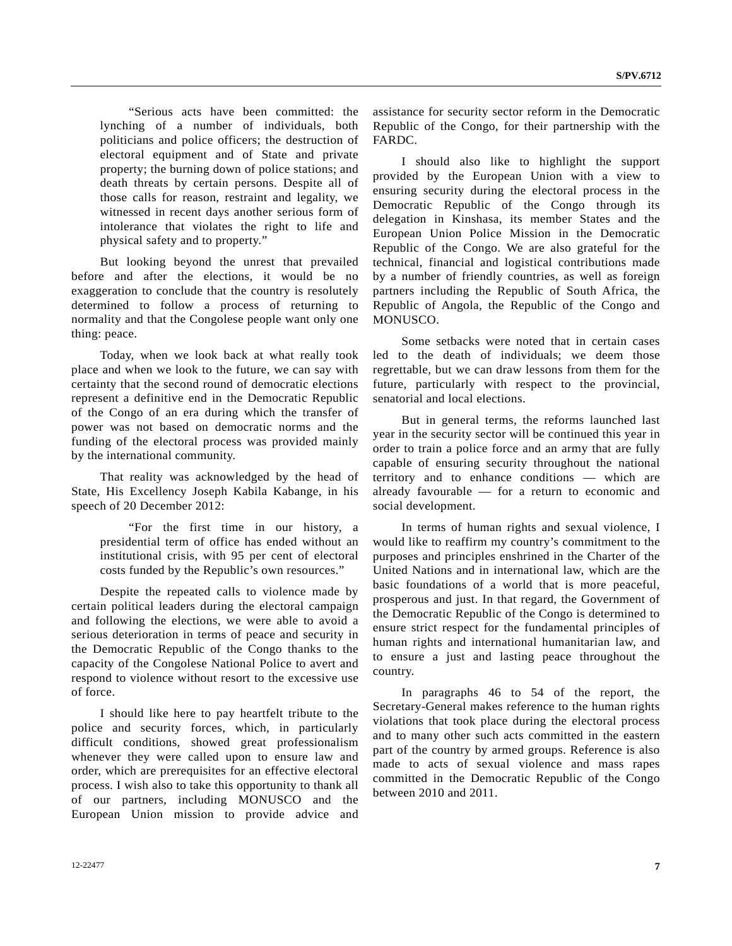"Serious acts have been committed: the lynching of a number of individuals, both politicians and police officers; the destruction of electoral equipment and of State and private property; the burning down of police stations; and death threats by certain persons. Despite all of those calls for reason, restraint and legality, we witnessed in recent days another serious form of intolerance that violates the right to life and physical safety and to property."

 But looking beyond the unrest that prevailed before and after the elections, it would be no exaggeration to conclude that the country is resolutely determined to follow a process of returning to normality and that the Congolese people want only one thing: peace.

 Today, when we look back at what really took place and when we look to the future, we can say with certainty that the second round of democratic elections represent a definitive end in the Democratic Republic of the Congo of an era during which the transfer of power was not based on democratic norms and the funding of the electoral process was provided mainly by the international community.

 That reality was acknowledged by the head of State, His Excellency Joseph Kabila Kabange, in his speech of 20 December 2012:

 "For the first time in our history, a presidential term of office has ended without an institutional crisis, with 95 per cent of electoral costs funded by the Republic's own resources."

 Despite the repeated calls to violence made by certain political leaders during the electoral campaign and following the elections, we were able to avoid a serious deterioration in terms of peace and security in the Democratic Republic of the Congo thanks to the capacity of the Congolese National Police to avert and respond to violence without resort to the excessive use of force.

 I should like here to pay heartfelt tribute to the police and security forces, which, in particularly difficult conditions, showed great professionalism whenever they were called upon to ensure law and order, which are prerequisites for an effective electoral process. I wish also to take this opportunity to thank all of our partners, including MONUSCO and the European Union mission to provide advice and

assistance for security sector reform in the Democratic Republic of the Congo, for their partnership with the FARDC.

 I should also like to highlight the support provided by the European Union with a view to ensuring security during the electoral process in the Democratic Republic of the Congo through its delegation in Kinshasa, its member States and the European Union Police Mission in the Democratic Republic of the Congo. We are also grateful for the technical, financial and logistical contributions made by a number of friendly countries, as well as foreign partners including the Republic of South Africa, the Republic of Angola, the Republic of the Congo and MONUSCO.

 Some setbacks were noted that in certain cases led to the death of individuals; we deem those regrettable, but we can draw lessons from them for the future, particularly with respect to the provincial, senatorial and local elections.

 But in general terms, the reforms launched last year in the security sector will be continued this year in order to train a police force and an army that are fully capable of ensuring security throughout the national territory and to enhance conditions — which are already favourable — for a return to economic and social development.

 In terms of human rights and sexual violence, I would like to reaffirm my country's commitment to the purposes and principles enshrined in the Charter of the United Nations and in international law, which are the basic foundations of a world that is more peaceful, prosperous and just. In that regard, the Government of the Democratic Republic of the Congo is determined to ensure strict respect for the fundamental principles of human rights and international humanitarian law, and to ensure a just and lasting peace throughout the country.

 In paragraphs 46 to 54 of the report, the Secretary-General makes reference to the human rights violations that took place during the electoral process and to many other such acts committed in the eastern part of the country by armed groups. Reference is also made to acts of sexual violence and mass rapes committed in the Democratic Republic of the Congo between 2010 and 2011.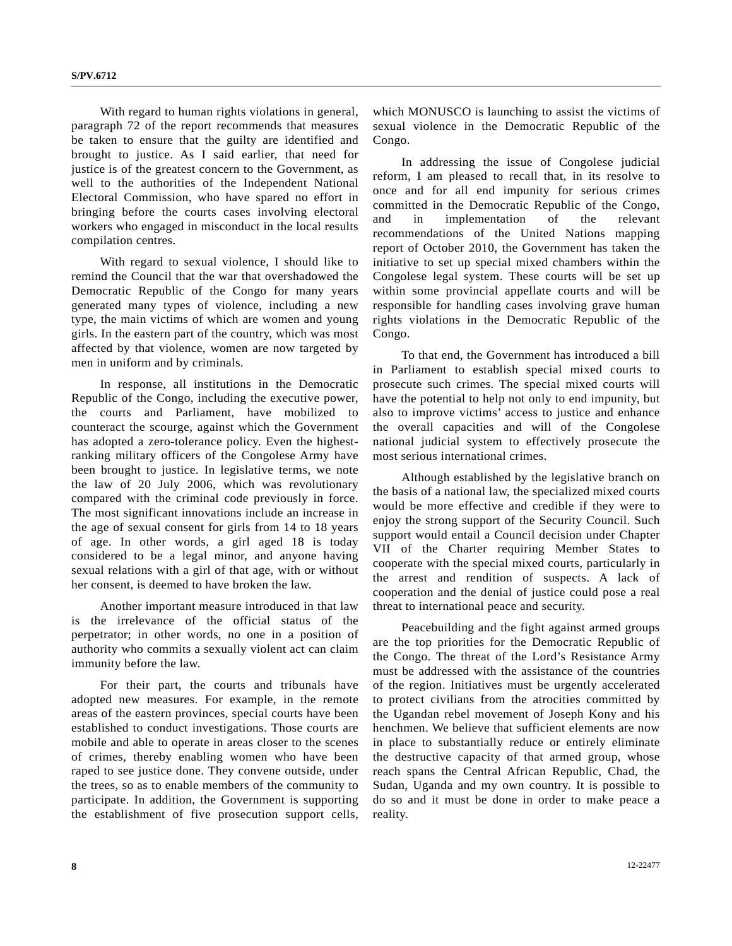With regard to human rights violations in general, paragraph 72 of the report recommends that measures be taken to ensure that the guilty are identified and brought to justice. As I said earlier, that need for justice is of the greatest concern to the Government, as well to the authorities of the Independent National Electoral Commission, who have spared no effort in bringing before the courts cases involving electoral workers who engaged in misconduct in the local results compilation centres.

 With regard to sexual violence, I should like to remind the Council that the war that overshadowed the Democratic Republic of the Congo for many years generated many types of violence, including a new type, the main victims of which are women and young girls. In the eastern part of the country, which was most affected by that violence, women are now targeted by men in uniform and by criminals.

 In response, all institutions in the Democratic Republic of the Congo, including the executive power, the courts and Parliament, have mobilized to counteract the scourge, against which the Government has adopted a zero-tolerance policy. Even the highestranking military officers of the Congolese Army have been brought to justice. In legislative terms, we note the law of 20 July 2006, which was revolutionary compared with the criminal code previously in force. The most significant innovations include an increase in the age of sexual consent for girls from 14 to 18 years of age. In other words, a girl aged 18 is today considered to be a legal minor, and anyone having sexual relations with a girl of that age, with or without her consent, is deemed to have broken the law.

 Another important measure introduced in that law is the irrelevance of the official status of the perpetrator; in other words, no one in a position of authority who commits a sexually violent act can claim immunity before the law.

 For their part, the courts and tribunals have adopted new measures. For example, in the remote areas of the eastern provinces, special courts have been established to conduct investigations. Those courts are mobile and able to operate in areas closer to the scenes of crimes, thereby enabling women who have been raped to see justice done. They convene outside, under the trees, so as to enable members of the community to participate. In addition, the Government is supporting the establishment of five prosecution support cells,

which MONUSCO is launching to assist the victims of sexual violence in the Democratic Republic of the Congo.

 In addressing the issue of Congolese judicial reform, I am pleased to recall that, in its resolve to once and for all end impunity for serious crimes committed in the Democratic Republic of the Congo, and in implementation of the relevant recommendations of the United Nations mapping report of October 2010, the Government has taken the initiative to set up special mixed chambers within the Congolese legal system. These courts will be set up within some provincial appellate courts and will be responsible for handling cases involving grave human rights violations in the Democratic Republic of the Congo.

 To that end, the Government has introduced a bill in Parliament to establish special mixed courts to prosecute such crimes. The special mixed courts will have the potential to help not only to end impunity, but also to improve victims' access to justice and enhance the overall capacities and will of the Congolese national judicial system to effectively prosecute the most serious international crimes.

 Although established by the legislative branch on the basis of a national law, the specialized mixed courts would be more effective and credible if they were to enjoy the strong support of the Security Council. Such support would entail a Council decision under Chapter VII of the Charter requiring Member States to cooperate with the special mixed courts, particularly in the arrest and rendition of suspects. A lack of cooperation and the denial of justice could pose a real threat to international peace and security.

 Peacebuilding and the fight against armed groups are the top priorities for the Democratic Republic of the Congo. The threat of the Lord's Resistance Army must be addressed with the assistance of the countries of the region. Initiatives must be urgently accelerated to protect civilians from the atrocities committed by the Ugandan rebel movement of Joseph Kony and his henchmen. We believe that sufficient elements are now in place to substantially reduce or entirely eliminate the destructive capacity of that armed group, whose reach spans the Central African Republic, Chad, the Sudan, Uganda and my own country. It is possible to do so and it must be done in order to make peace a reality.